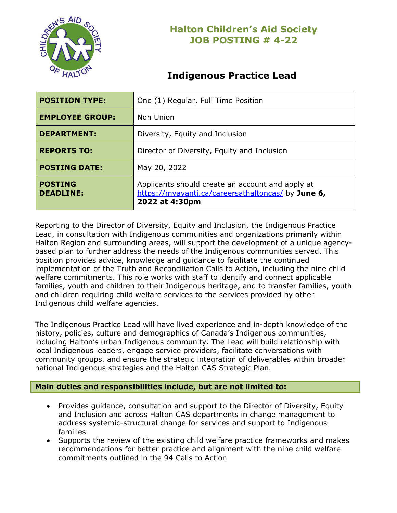

# **Indigenous Practice Lead**

| <b>POSITION TYPE:</b>              | One (1) Regular, Full Time Position                                                                                      |
|------------------------------------|--------------------------------------------------------------------------------------------------------------------------|
| <b>EMPLOYEE GROUP:</b>             | Non Union                                                                                                                |
| <b>DEPARTMENT:</b>                 | Diversity, Equity and Inclusion                                                                                          |
| <b>REPORTS TO:</b>                 | Director of Diversity, Equity and Inclusion                                                                              |
| <b>POSTING DATE:</b>               | May 20, 2022                                                                                                             |
| <b>POSTING</b><br><b>DEADLINE:</b> | Applicants should create an account and apply at<br>https://myavanti.ca/careersathaltoncas/ by June 6,<br>2022 at 4:30pm |

Reporting to the Director of Diversity, Equity and Inclusion, the Indigenous Practice Lead, in consultation with Indigenous communities and organizations primarily within Halton Region and surrounding areas, will support the development of a unique agencybased plan to further address the needs of the Indigenous communities served. This position provides advice, knowledge and guidance to facilitate the continued implementation of the Truth and Reconciliation Calls to Action, including the nine child welfare commitments. This role works with staff to identify and connect applicable families, youth and children to their Indigenous heritage, and to transfer families, youth and children requiring child welfare services to the services provided by other Indigenous child welfare agencies.

The Indigenous Practice Lead will have lived experience and in-depth knowledge of the history, policies, culture and demographics of Canada's Indigenous communities, including Halton's urban Indigenous community. The Lead will build relationship with local Indigenous leaders, engage service providers, facilitate conversations with community groups, and ensure the strategic integration of deliverables within broader national Indigenous strategies and the Halton CAS Strategic Plan.

### **Main duties and responsibilities include, but are not limited to:**

- Provides guidance, consultation and support to the Director of Diversity, Equity and Inclusion and across Halton CAS departments in change management to address systemic-structural change for services and support to Indigenous families
- Supports the review of the existing child welfare practice frameworks and makes recommendations for better practice and alignment with the nine child welfare commitments outlined in the 94 Calls to Action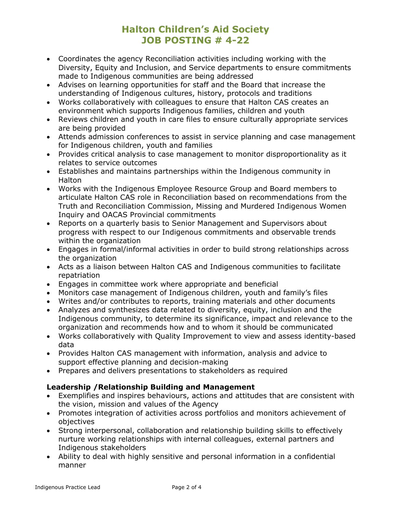- Coordinates the agency Reconciliation activities including working with the Diversity, Equity and Inclusion, and Service departments to ensure commitments made to Indigenous communities are being addressed
- Advises on learning opportunities for staff and the Board that increase the understanding of Indigenous cultures, history, protocols and traditions
- Works collaboratively with colleagues to ensure that Halton CAS creates an environment which supports Indigenous families, children and youth
- Reviews children and youth in care files to ensure culturally appropriate services are being provided
- Attends admission conferences to assist in service planning and case management for Indigenous children, youth and families
- Provides critical analysis to case management to monitor disproportionality as it relates to service outcomes
- Establishes and maintains partnerships within the Indigenous community in **Halton**
- Works with the Indigenous Employee Resource Group and Board members to articulate Halton CAS role in Reconciliation based on recommendations from the Truth and Reconciliation Commission, Missing and Murdered Indigenous Women Inquiry and OACAS Provincial commitments
- Reports on a quarterly basis to Senior Management and Supervisors about progress with respect to our Indigenous commitments and observable trends within the organization
- Engages in formal/informal activities in order to build strong relationships across the organization
- Acts as a liaison between Halton CAS and Indigenous communities to facilitate repatriation
- Engages in committee work where appropriate and beneficial
- Monitors case management of Indigenous children, youth and family's files
- Writes and/or contributes to reports, training materials and other documents
- Analyzes and synthesizes data related to diversity, equity, inclusion and the Indigenous community, to determine its significance, impact and relevance to the organization and recommends how and to whom it should be communicated
- Works collaboratively with Quality Improvement to view and assess identity-based data
- Provides Halton CAS management with information, analysis and advice to support effective planning and decision-making
- Prepares and delivers presentations to stakeholders as required

### **Leadership /Relationship Building and Management**

- Exemplifies and inspires behaviours, actions and attitudes that are consistent with the vision, mission and values of the Agency
- Promotes integration of activities across portfolios and monitors achievement of objectives
- Strong interpersonal, collaboration and relationship building skills to effectively nurture working relationships with internal colleagues, external partners and Indigenous stakeholders
- Ability to deal with highly sensitive and personal information in a confidential manner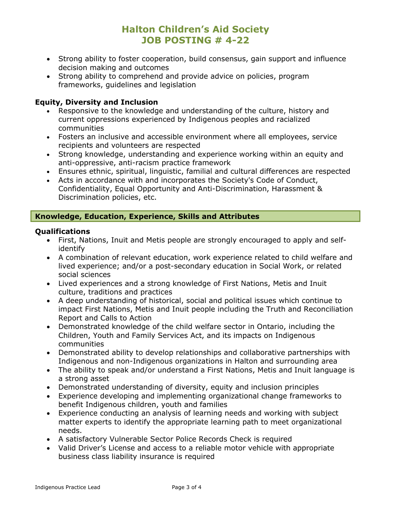- Strong ability to foster cooperation, build consensus, gain support and influence decision making and outcomes
- Strong ability to comprehend and provide advice on policies, program frameworks, guidelines and legislation

#### **Equity, Diversity and Inclusion**

- Responsive to the knowledge and understanding of the culture, history and current oppressions experienced by Indigenous peoples and racialized communities
- Fosters an inclusive and accessible environment where all employees, service recipients and volunteers are respected
- Strong knowledge, understanding and experience working within an equity and anti-oppressive, anti-racism practice framework
- Ensures ethnic, spiritual, linguistic, familial and cultural differences are respected
- Acts in accordance with and incorporates the Society's Code of Conduct, Confidentiality, Equal Opportunity and Anti-Discrimination, Harassment & Discrimination policies, etc.

### **Knowledge, Education, Experience, Skills and Attributes**

#### **Qualifications**

- First, Nations, Inuit and Metis people are strongly encouraged to apply and selfidentify
- A combination of relevant education, work experience related to child welfare and lived experience; and/or a post-secondary education in Social Work, or related social sciences
- Lived experiences and a strong knowledge of First Nations, Metis and Inuit culture, traditions and practices
- A deep understanding of historical, social and political issues which continue to impact First Nations, Metis and Inuit people including the Truth and Reconciliation Report and Calls to Action
- Demonstrated knowledge of the child welfare sector in Ontario, including the Children, Youth and Family Services Act, and its impacts on Indigenous communities
- Demonstrated ability to develop relationships and collaborative partnerships with Indigenous and non-Indigenous organizations in Halton and surrounding area
- The ability to speak and/or understand a First Nations, Metis and Inuit language is a strong asset
- Demonstrated understanding of diversity, equity and inclusion principles
- Experience developing and implementing organizational change frameworks to benefit Indigenous children, youth and families
- Experience conducting an analysis of learning needs and working with subject matter experts to identify the appropriate learning path to meet organizational needs.
- A satisfactory Vulnerable Sector Police Records Check is required
- Valid Driver's License and access to a reliable motor vehicle with appropriate business class liability insurance is required